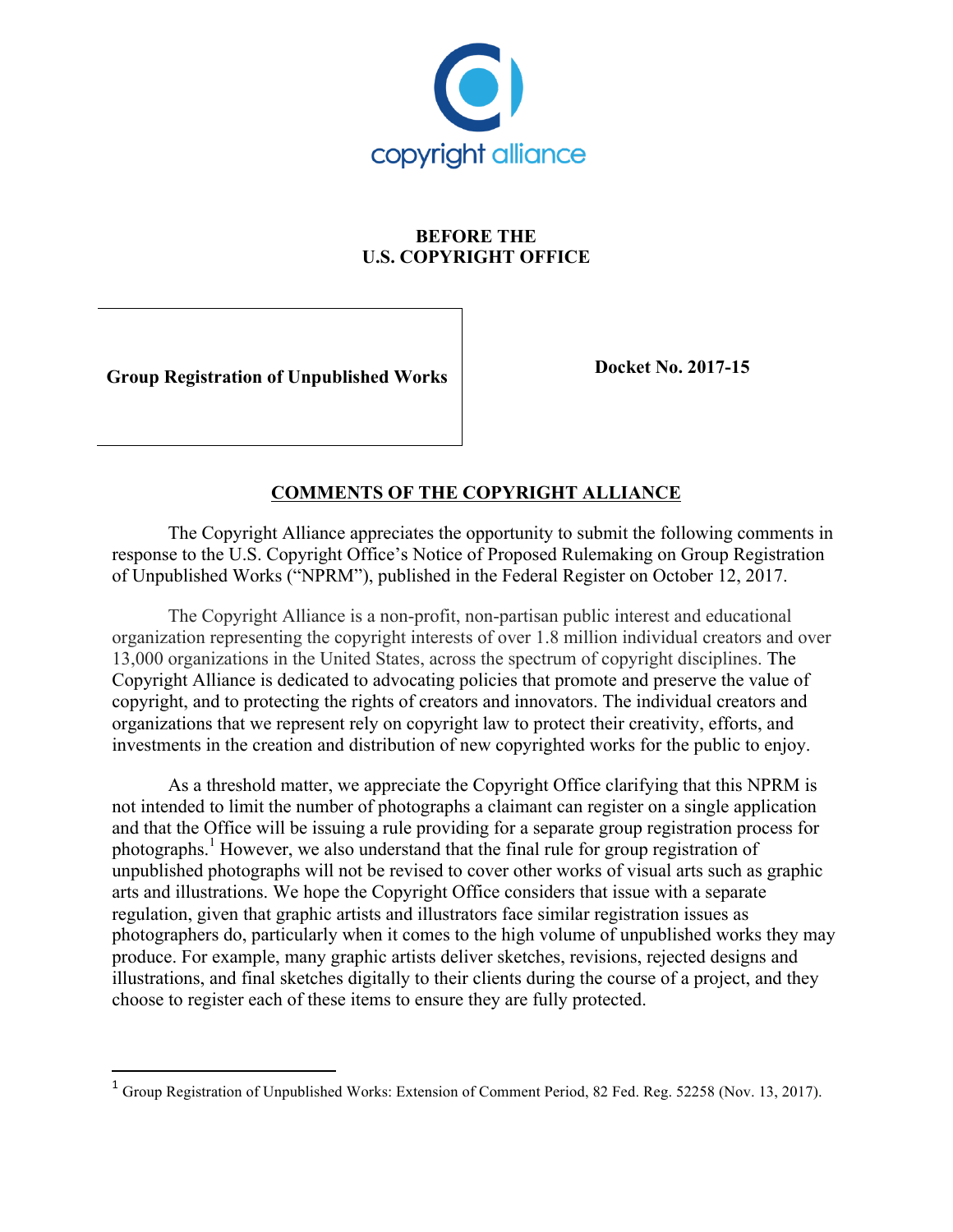

## **BEFORE THE U.S. COPYRIGHT OFFICE**

**Group Registration of Unpublished Works Docket No. 2017-15** 

<u> 1989 - Johann Stein, fransk politik (d. 1989)</u>

## **COMMENTS OF THE COPYRIGHT ALLIANCE**

The Copyright Alliance appreciates the opportunity to submit the following comments in response to the U.S. Copyright Office's Notice of Proposed Rulemaking on Group Registration of Unpublished Works ("NPRM"), published in the Federal Register on October 12, 2017.

The Copyright Alliance is a non-profit, non-partisan public interest and educational organization representing the copyright interests of over 1.8 million individual creators and over 13,000 organizations in the United States, across the spectrum of copyright disciplines. The Copyright Alliance is dedicated to advocating policies that promote and preserve the value of copyright, and to protecting the rights of creators and innovators. The individual creators and organizations that we represent rely on copyright law to protect their creativity, efforts, and investments in the creation and distribution of new copyrighted works for the public to enjoy.

As a threshold matter, we appreciate the Copyright Office clarifying that this NPRM is not intended to limit the number of photographs a claimant can register on a single application and that the Office will be issuing a rule providing for a separate group registration process for photographs. <sup>1</sup> However, we also understand that the final rule for group registration of unpublished photographs will not be revised to cover other works of visual arts such as graphic arts and illustrations. We hope the Copyright Office considers that issue with a separate regulation, given that graphic artists and illustrators face similar registration issues as photographers do, particularly when it comes to the high volume of unpublished works they may produce. For example, many graphic artists deliver sketches, revisions, rejected designs and illustrations, and final sketches digitally to their clients during the course of a project, and they choose to register each of these items to ensure they are fully protected.

<sup>&</sup>lt;sup>1</sup> Group Registration of Unpublished Works: Extension of Comment Period, 82 Fed. Reg. 52258 (Nov. 13, 2017).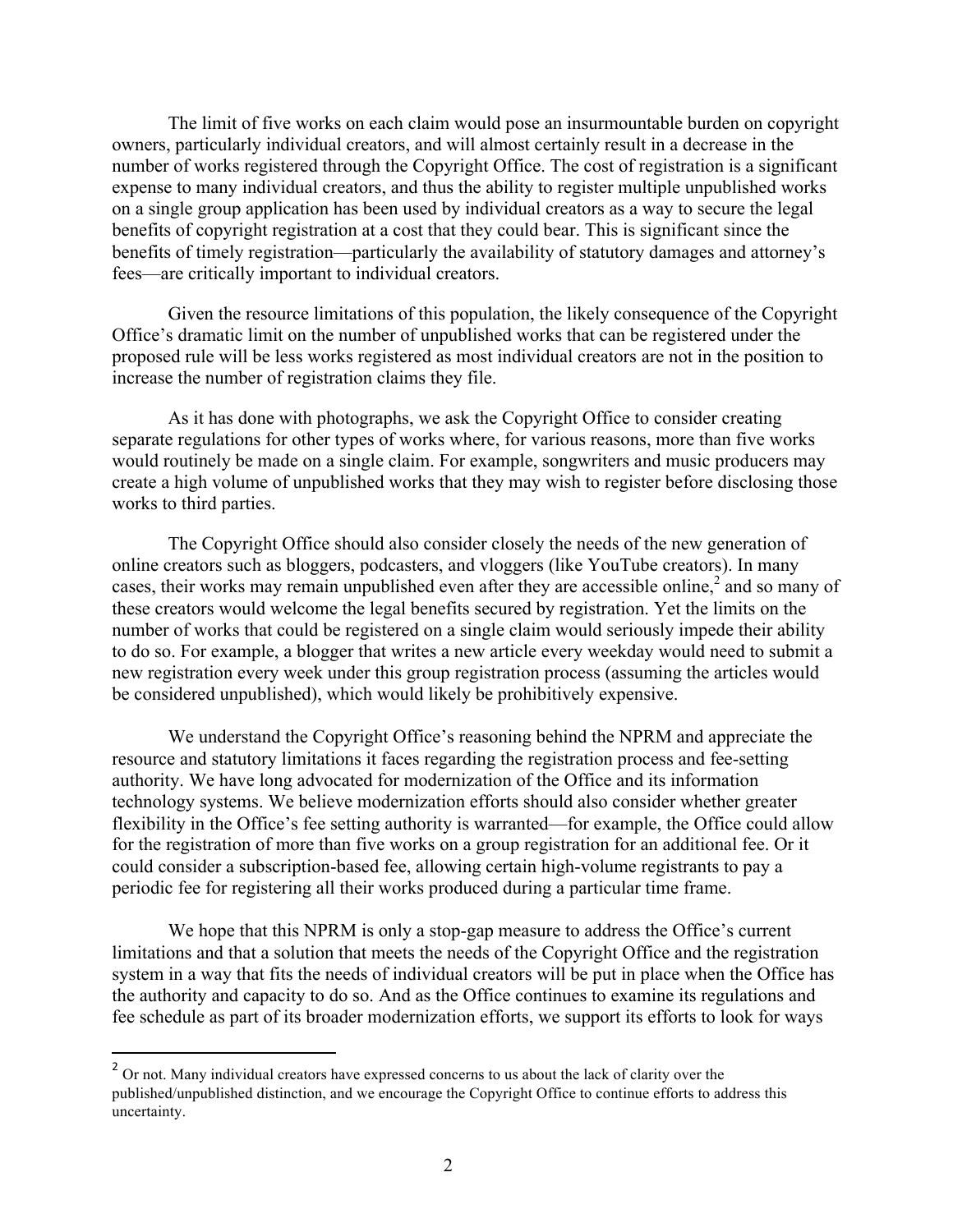The limit of five works on each claim would pose an insurmountable burden on copyright owners, particularly individual creators, and will almost certainly result in a decrease in the number of works registered through the Copyright Office. The cost of registration is a significant expense to many individual creators, and thus the ability to register multiple unpublished works on a single group application has been used by individual creators as a way to secure the legal benefits of copyright registration at a cost that they could bear. This is significant since the benefits of timely registration—particularly the availability of statutory damages and attorney's fees—are critically important to individual creators.

Given the resource limitations of this population, the likely consequence of the Copyright Office's dramatic limit on the number of unpublished works that can be registered under the proposed rule will be less works registered as most individual creators are not in the position to increase the number of registration claims they file.

As it has done with photographs, we ask the Copyright Office to consider creating separate regulations for other types of works where, for various reasons, more than five works would routinely be made on a single claim. For example, songwriters and music producers may create a high volume of unpublished works that they may wish to register before disclosing those works to third parties.

The Copyright Office should also consider closely the needs of the new generation of online creators such as bloggers, podcasters, and vloggers (like YouTube creators). In many cases, their works may remain unpublished even after they are accessible online,<sup>2</sup> and so many of these creators would welcome the legal benefits secured by registration. Yet the limits on the number of works that could be registered on a single claim would seriously impede their ability to do so. For example, a blogger that writes a new article every weekday would need to submit a new registration every week under this group registration process (assuming the articles would be considered unpublished), which would likely be prohibitively expensive.

We understand the Copyright Office's reasoning behind the NPRM and appreciate the resource and statutory limitations it faces regarding the registration process and fee-setting authority. We have long advocated for modernization of the Office and its information technology systems. We believe modernization efforts should also consider whether greater flexibility in the Office's fee setting authority is warranted—for example, the Office could allow for the registration of more than five works on a group registration for an additional fee. Or it could consider a subscription-based fee, allowing certain high-volume registrants to pay a periodic fee for registering all their works produced during a particular time frame.

We hope that this NPRM is only a stop-gap measure to address the Office's current limitations and that a solution that meets the needs of the Copyright Office and the registration system in a way that fits the needs of individual creators will be put in place when the Office has the authority and capacity to do so. And as the Office continues to examine its regulations and fee schedule as part of its broader modernization efforts, we support its efforts to look for ways

<u> 1989 - Johann Stein, fransk politik (d. 1989)</u>

<sup>&</sup>lt;sup>2</sup> Or not. Many individual creators have expressed concerns to us about the lack of clarity over the published/unpublished distinction, and we encourage the Copyright Office to continue efforts to address this uncertainty.